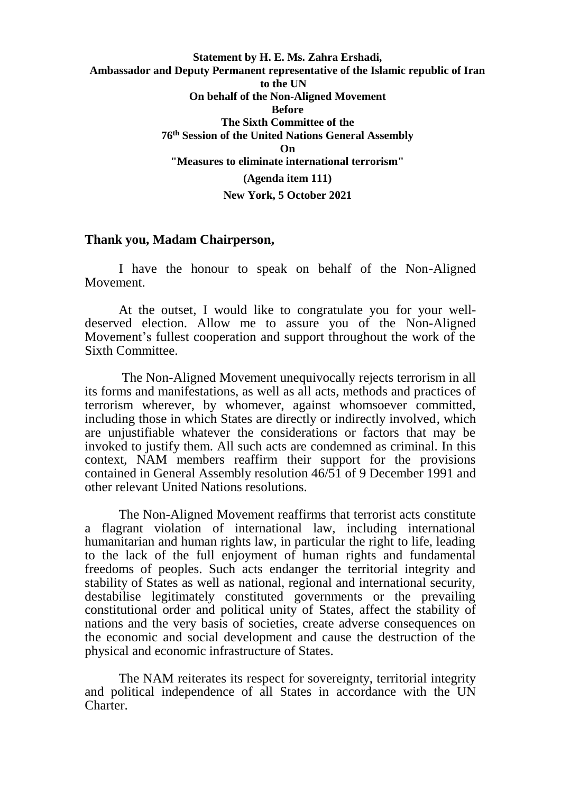## **Statement by H. E. Ms. Zahra Ershadi, Ambassador and Deputy Permanent representative of the Islamic republic of Iran to the UN On behalf of the Non-Aligned Movement Before The Sixth Committee of the 76th Session of the United Nations General Assembly On "Measures to eliminate international terrorism" (Agenda item 111) New York, 5 October 2021**

## **Thank you, Madam Chairperson,**

I have the honour to speak on behalf of the Non-Aligned Movement.

At the outset, I would like to congratulate you for your welldeserved election. Allow me to assure you of the Non-Aligned Movement's fullest cooperation and support throughout the work of the Sixth Committee.

The Non-Aligned Movement unequivocally rejects terrorism in all its forms and manifestations, as well as all acts, methods and practices of terrorism wherever, by whomever, against whomsoever committed, including those in which States are directly or indirectly involved, which are unjustifiable whatever the considerations or factors that may be invoked to justify them. All such acts are condemned as criminal. In this context, NAM members reaffirm their support for the provisions contained in General Assembly resolution 46/51 of 9 December 1991 and other relevant United Nations resolutions.

The Non-Aligned Movement reaffirms that terrorist acts constitute a flagrant violation of international law, including international humanitarian and human rights law, in particular the right to life, leading to the lack of the full enjoyment of human rights and fundamental freedoms of peoples. Such acts endanger the territorial integrity and stability of States as well as national, regional and international security, destabilise legitimately constituted governments or the prevailing constitutional order and political unity of States, affect the stability of nations and the very basis of societies, create adverse consequences on the economic and social development and cause the destruction of the physical and economic infrastructure of States.

The NAM reiterates its respect for sovereignty, territorial integrity and political independence of all States in accordance with the UN Charter.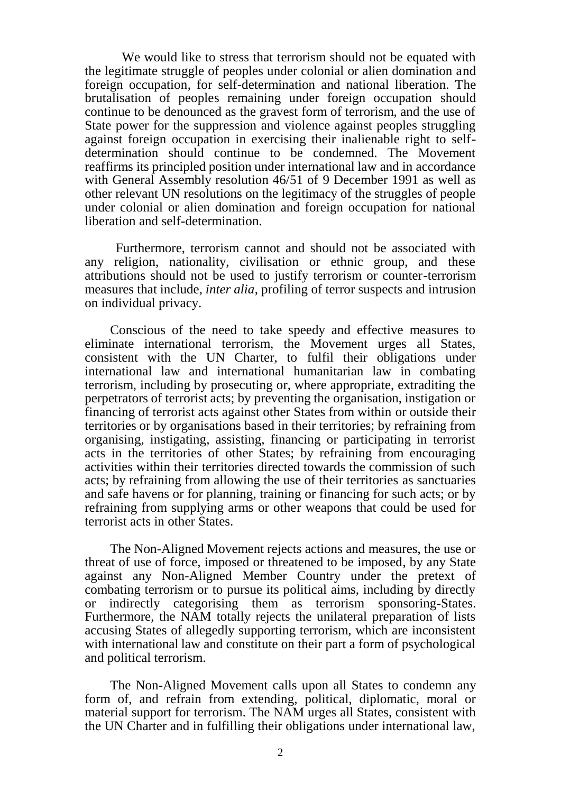We would like to stress that terrorism should not be equated with the legitimate struggle of peoples under colonial or alien domination and foreign occupation, for self-determination and national liberation. The brutalisation of peoples remaining under foreign occupation should continue to be denounced as the gravest form of terrorism, and the use of State power for the suppression and violence against peoples struggling against foreign occupation in exercising their inalienable right to selfdetermination should continue to be condemned. The Movement reaffirms its principled position under international law and in accordance with General Assembly resolution 46/51 of 9 December 1991 as well as other relevant UN resolutions on the legitimacy of the struggles of people under colonial or alien domination and foreign occupation for national liberation and self-determination.

Furthermore, terrorism cannot and should not be associated with any religion, nationality, civilisation or ethnic group, and these attributions should not be used to justify terrorism or counter-terrorism measures that include, *inter alia*, profiling of terror suspects and intrusion on individual privacy.

Conscious of the need to take speedy and effective measures to eliminate international terrorism, the Movement urges all States, consistent with the UN Charter, to fulfil their obligations under international law and international humanitarian law in combating terrorism, including by prosecuting or, where appropriate, extraditing the perpetrators of terrorist acts; by preventing the organisation, instigation or financing of terrorist acts against other States from within or outside their territories or by organisations based in their territories; by refraining from organising, instigating, assisting, financing or participating in terrorist acts in the territories of other States; by refraining from encouraging activities within their territories directed towards the commission of such acts; by refraining from allowing the use of their territories as sanctuaries and safe havens or for planning, training or financing for such acts; or by refraining from supplying arms or other weapons that could be used for terrorist acts in other States.

The Non-Aligned Movement rejects actions and measures, the use or threat of use of force, imposed or threatened to be imposed, by any State against any Non-Aligned Member Country under the pretext of combating terrorism or to pursue its political aims, including by directly or indirectly categorising them as terrorism sponsoring-States. Furthermore, the NAM totally rejects the unilateral preparation of lists accusing States of allegedly supporting terrorism, which are inconsistent with international law and constitute on their part a form of psychological and political terrorism.

The Non-Aligned Movement calls upon all States to condemn any form of, and refrain from extending, political, diplomatic, moral or material support for terrorism. The NAM urges all States, consistent with the UN Charter and in fulfilling their obligations under international law,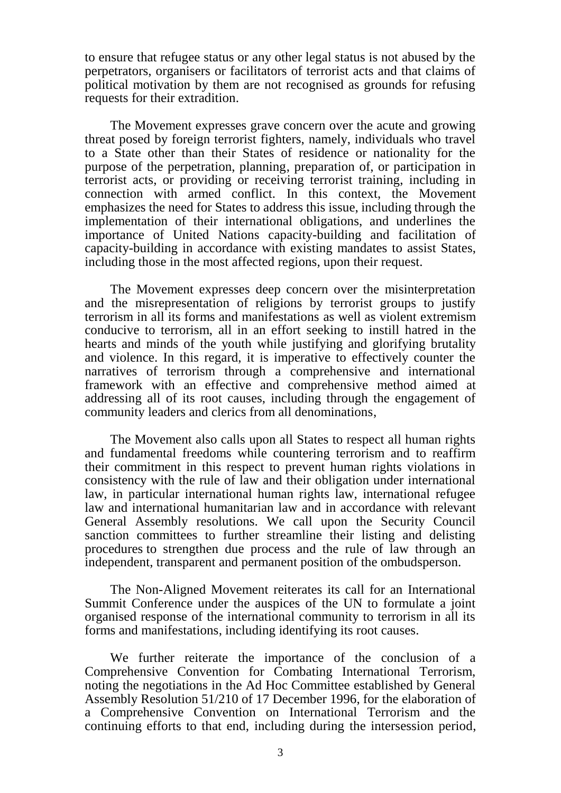to ensure that refugee status or any other legal status is not abused by the perpetrators, organisers or facilitators of terrorist acts and that claims of political motivation by them are not recognised as grounds for refusing requests for their extradition.

The Movement expresses grave concern over the acute and growing threat posed by foreign terrorist fighters, namely, individuals who travel to a State other than their States of residence or nationality for the purpose of the perpetration, planning, preparation of, or participation in terrorist acts, or providing or receiving terrorist training, including in connection with armed conflict. In this context, the Movement emphasizes the need for States to address this issue, including through the implementation of their international obligations, and underlines the importance of United Nations capacity-building and facilitation of capacity-building in accordance with existing mandates to assist States, including those in the most affected regions, upon their request.

The Movement expresses deep concern over the misinterpretation and the misrepresentation of religions by terrorist groups to justify terrorism in all its forms and manifestations as well as violent extremism conducive to terrorism, all in an effort seeking to instill hatred in the hearts and minds of the youth while justifying and glorifying brutality and violence. In this regard, it is imperative to effectively counter the narratives of terrorism through a comprehensive and international framework with an effective and comprehensive method aimed at addressing all of its root causes, including through the engagement of community leaders and clerics from all denominations,

The Movement also calls upon all States to respect all human rights and fundamental freedoms while countering terrorism and to reaffirm their commitment in this respect to prevent human rights violations in consistency with the rule of law and their obligation under international law, in particular international human rights law, international refugee law and international humanitarian law and in accordance with relevant General Assembly resolutions. We call upon the Security Council sanction committees to further streamline their listing and delisting procedures to strengthen due process and the rule of law through an independent, transparent and permanent position of the ombudsperson.

The Non-Aligned Movement reiterates its call for an International Summit Conference under the auspices of the UN to formulate a joint organised response of the international community to terrorism in all its forms and manifestations, including identifying its root causes.

We further reiterate the importance of the conclusion of a Comprehensive Convention for Combating International Terrorism, noting the negotiations in the Ad Hoc Committee established by General Assembly Resolution 51/210 of 17 December 1996, for the elaboration of a Comprehensive Convention on International Terrorism and the continuing efforts to that end, including during the intersession period,